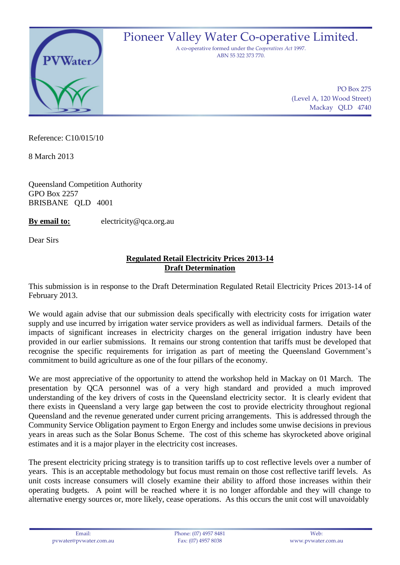

Pioneer Valley Water Co-operative Limited.

A co-operative formed under the *Cooperatives Act* 1997. ABN 55 322 373 770.

> PO Box 275 (Level A, 120 Wood Street) Mackay QLD 4740

Reference: C10/015/10

8 March 2013

Queensland Competition Authority GPO Box 2257 BRISBANE QLD 4001

**By email to:** electricity@qca.org.au

Dear Sirs

## **Regulated Retail Electricity Prices 2013-14 Draft Determination**

This submission is in response to the Draft Determination Regulated Retail Electricity Prices 2013-14 of February 2013.

We would again advise that our submission deals specifically with electricity costs for irrigation water supply and use incurred by irrigation water service providers as well as individual farmers. Details of the impacts of significant increases in electricity charges on the general irrigation industry have been provided in our earlier submissions. It remains our strong contention that tariffs must be developed that recognise the specific requirements for irrigation as part of meeting the Queensland Government's commitment to build agriculture as one of the four pillars of the economy.

We are most appreciative of the opportunity to attend the workshop held in Mackay on 01 March. The presentation by QCA personnel was of a very high standard and provided a much improved understanding of the key drivers of costs in the Queensland electricity sector. It is clearly evident that there exists in Queensland a very large gap between the cost to provide electricity throughout regional Queensland and the revenue generated under current pricing arrangements. This is addressed through the Community Service Obligation payment to Ergon Energy and includes some unwise decisions in previous years in areas such as the Solar Bonus Scheme. The cost of this scheme has skyrocketed above original estimates and it is a major player in the electricity cost increases.

The present electricity pricing strategy is to transition tariffs up to cost reflective levels over a number of years. This is an acceptable methodology but focus must remain on those cost reflective tariff levels. As unit costs increase consumers will closely examine their ability to afford those increases within their operating budgets. A point will be reached where it is no longer affordable and they will change to alternative energy sources or, more likely, cease operations. As this occurs the unit cost will unavoidably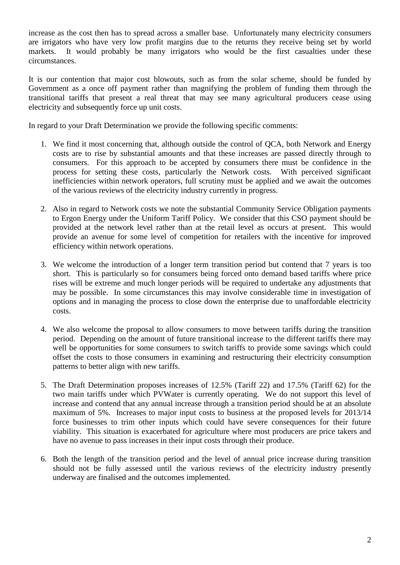increase as the cost then has to spread across a smaller base. Unfortunately many electricity consumers are irrigators who have very low profit margins due to the returns they receive being set by world markets. It would probably be many irrigators who would be the first casualties under these circumstances.

It is our contention that major cost blowouts, such as from the solar scheme, should be funded by Government as a once off payment rather than magnifying the problem of funding them through the transitional tariffs that present a real threat that may see many agricultural producers cease using electricity and subsequently force up unit costs.

In regard to your Draft Determination we provide the following specific comments:

- 1. We find it most concerning that, although outside the control of QCA, both Network and Energy costs are to rise by substantial amounts and that these increases are passed directly through to consumers. For this approach to be accepted by consumers there must be confidence in the process for setting these costs, particularly the Network costs. With perceived significant inefficiencies within network operators, full scrutiny must be applied and we await the outcomes of the various reviews of the electricity industry currently in progress.
- 2. Also in regard to Network costs we note the substantial Community Service Obligation payments to Ergon Energy under the Uniform Tariff Policy. We consider that this CSO payment should be provided at the network level rather than at the retail level as occurs at present. This would provide an avenue for some level of competition for retailers with the incentive for improved efficiency within network operations.
- 3. We welcome the introduction of a longer term transition period but contend that 7 years is too short. This is particularly so for consumers being forced onto demand based tariffs where price rises will be extreme and much longer periods will be required to undertake any adjustments that may be possible. In some circumstances this may involve considerable time in investigation of options and in managing the process to close down the enterprise due to unaffordable electricity costs.
- 4. We also welcome the proposal to allow consumers to move between tariffs during the transition period. Depending on the amount of future transitional increase to the different tariffs there may well be opportunities for some consumers to switch tariffs to provide some savings which could offset the costs to those consumers in examining and restructuring their electricity consumption patterns to better align with new tariffs.
- 5. The Draft Determination proposes increases of 12.5% (Tariff 22) and 17.5% (Tariff 62) for the two main tariffs under which PVWater is currently operating. We do not support this level of increase and contend that any annual increase through a transition period should be at an absolute maximum of 5%. Increases to major input costs to business at the proposed levels for 2013/14 force businesses to trim other inputs which could have severe consequences for their future viability. This situation is exacerbated for agriculture where most producers are price takers and have no avenue to pass increases in their input costs through their produce.
- 6. Both the length of the transition period and the level of annual price increase during transition should not be fully assessed until the various reviews of the electricity industry presently underway are finalised and the outcomes implemented.